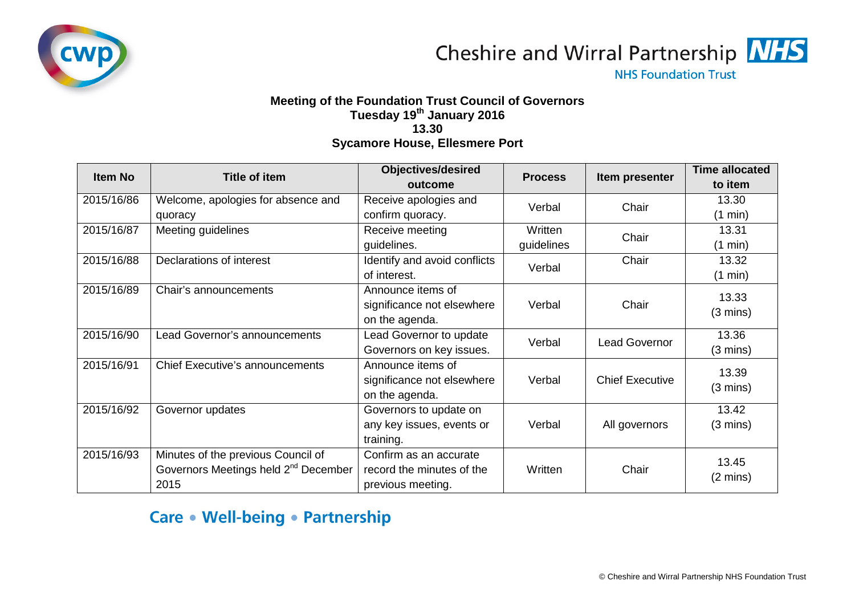

Cheshire and Wirral Partnership **NHS** 

**NHS Foundation Trust** 

## **Meeting of the Foundation Trust Council of Governors Tuesday 19th January 2016 13.30 Sycamore House, Ellesmere Port**

| <b>Item No</b> | Title of item                                    | <b>Objectives/desired</b>    | <b>Process</b> | Item presenter         | <b>Time allocated</b> |
|----------------|--------------------------------------------------|------------------------------|----------------|------------------------|-----------------------|
|                |                                                  | outcome                      |                |                        | to item               |
| 2015/16/86     | Welcome, apologies for absence and               | Receive apologies and        | Verbal         | Chair                  | 13.30                 |
|                | quoracy                                          | confirm quoracy.             |                |                        | (1 min)               |
| 2015/16/87     | Meeting guidelines                               | Receive meeting              | Written        | Chair                  | 13.31                 |
|                |                                                  | guidelines.                  | guidelines     |                        | (1 min)               |
| 2015/16/88     | Declarations of interest                         | Identify and avoid conflicts | Verbal         | Chair                  | 13.32                 |
|                |                                                  | of interest.                 |                |                        | (1 min)               |
| 2015/16/89     | Chair's announcements                            | Announce items of            |                |                        | 13.33                 |
|                |                                                  | significance not elsewhere   | Verbal         | Chair                  | $(3 \text{ mins})$    |
|                |                                                  | on the agenda.               |                |                        |                       |
| 2015/16/90     | Lead Governor's announcements                    | Lead Governor to update      | Verbal         | <b>Lead Governor</b>   | 13.36                 |
|                |                                                  | Governors on key issues.     |                |                        | $(3 \text{ mins})$    |
| 2015/16/91     | <b>Chief Executive's announcements</b>           | Announce items of            |                |                        | 13.39                 |
|                |                                                  | significance not elsewhere   | Verbal         | <b>Chief Executive</b> | $(3 \text{ mins})$    |
|                |                                                  | on the agenda.               |                |                        |                       |
| 2015/16/92     | Governor updates                                 | Governors to update on       |                |                        | 13.42                 |
|                |                                                  | any key issues, events or    | Verbal         | All governors          | $(3 \text{ mins})$    |
|                |                                                  | training.                    |                |                        |                       |
| 2015/16/93     | Minutes of the previous Council of               | Confirm as an accurate       |                |                        | 13.45                 |
|                | Governors Meetings held 2 <sup>nd</sup> December | record the minutes of the    | Written        | Chair                  | $(2 \text{ mins})$    |
|                | 2015                                             | previous meeting.            |                |                        |                       |

## Care • Well-being • Partnership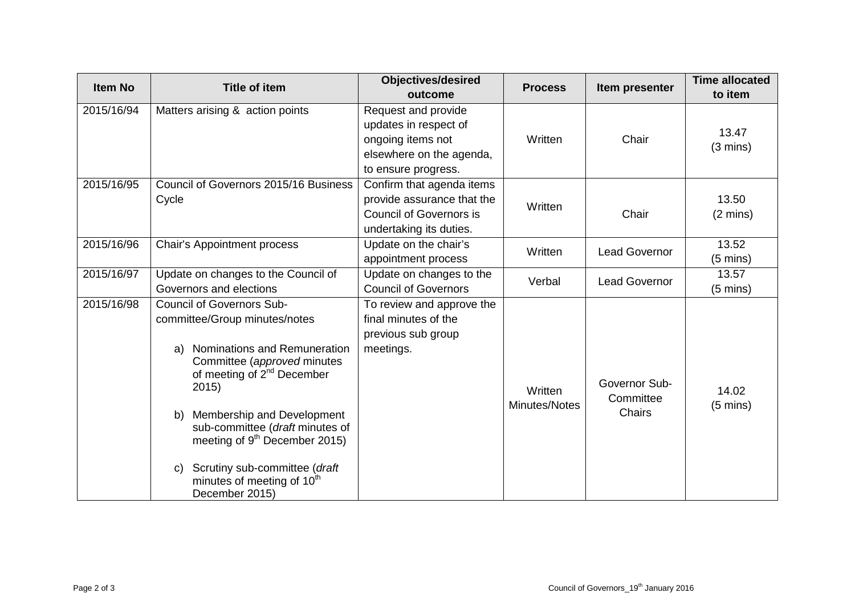| <b>Item No</b> | <b>Title of item</b>                                                                                                                          | <b>Objectives/desired</b>      | <b>Process</b>           | Item presenter       | <b>Time allocated</b> |
|----------------|-----------------------------------------------------------------------------------------------------------------------------------------------|--------------------------------|--------------------------|----------------------|-----------------------|
|                |                                                                                                                                               | outcome                        |                          |                      | to item               |
| 2015/16/94     | Matters arising & action points                                                                                                               | Request and provide            |                          |                      |                       |
|                |                                                                                                                                               | updates in respect of          |                          |                      | 13.47                 |
|                |                                                                                                                                               | ongoing items not              | Written                  | Chair                | $(3 \text{ mins})$    |
|                |                                                                                                                                               | elsewhere on the agenda,       |                          |                      |                       |
|                |                                                                                                                                               | to ensure progress.            |                          |                      |                       |
| 2015/16/95     | Council of Governors 2015/16 Business<br>Cycle                                                                                                | Confirm that agenda items      | Written                  | Chair                |                       |
|                |                                                                                                                                               | provide assurance that the     |                          |                      | 13.50                 |
|                |                                                                                                                                               | <b>Council of Governors is</b> |                          |                      | $(2 \text{ mins})$    |
|                |                                                                                                                                               | undertaking its duties.        |                          |                      |                       |
| 2015/16/96     | <b>Chair's Appointment process</b>                                                                                                            | Update on the chair's          | Written                  | <b>Lead Governor</b> | 13.52                 |
|                |                                                                                                                                               | appointment process            |                          |                      | $(5 \text{ mins})$    |
| 2015/16/97     | Update on changes to the Council of                                                                                                           | Update on changes to the       | Verbal                   | <b>Lead Governor</b> | 13.57                 |
|                | Governors and elections                                                                                                                       | <b>Council of Governors</b>    |                          |                      | $(5 \text{ mins})$    |
| 2015/16/98     | <b>Council of Governors Sub-</b>                                                                                                              | To review and approve the      |                          |                      |                       |
|                | committee/Group minutes/notes                                                                                                                 | final minutes of the           |                          |                      |                       |
|                |                                                                                                                                               | previous sub group             |                          |                      |                       |
|                | Nominations and Remuneration<br>a)                                                                                                            | meetings.                      |                          |                      |                       |
|                | Committee (approved minutes                                                                                                                   |                                |                          |                      |                       |
|                | of meeting of 2 <sup>nd</sup> December<br>2015)                                                                                               |                                |                          | Governor Sub-        |                       |
|                |                                                                                                                                               |                                | Written<br>Minutes/Notes | Committee<br>Chairs  | 14.02                 |
|                | Membership and Development<br>b)<br>sub-committee (draft minutes of<br>meeting of $9th$ December 2015)<br>Scrutiny sub-committee (draft<br>C) |                                |                          |                      | $(5 \text{ mins})$    |
|                |                                                                                                                                               |                                |                          |                      |                       |
|                |                                                                                                                                               |                                |                          |                      |                       |
|                |                                                                                                                                               |                                |                          |                      |                       |
|                | minutes of meeting of 10 <sup>th</sup>                                                                                                        |                                |                          |                      |                       |
|                | December 2015)                                                                                                                                |                                |                          |                      |                       |